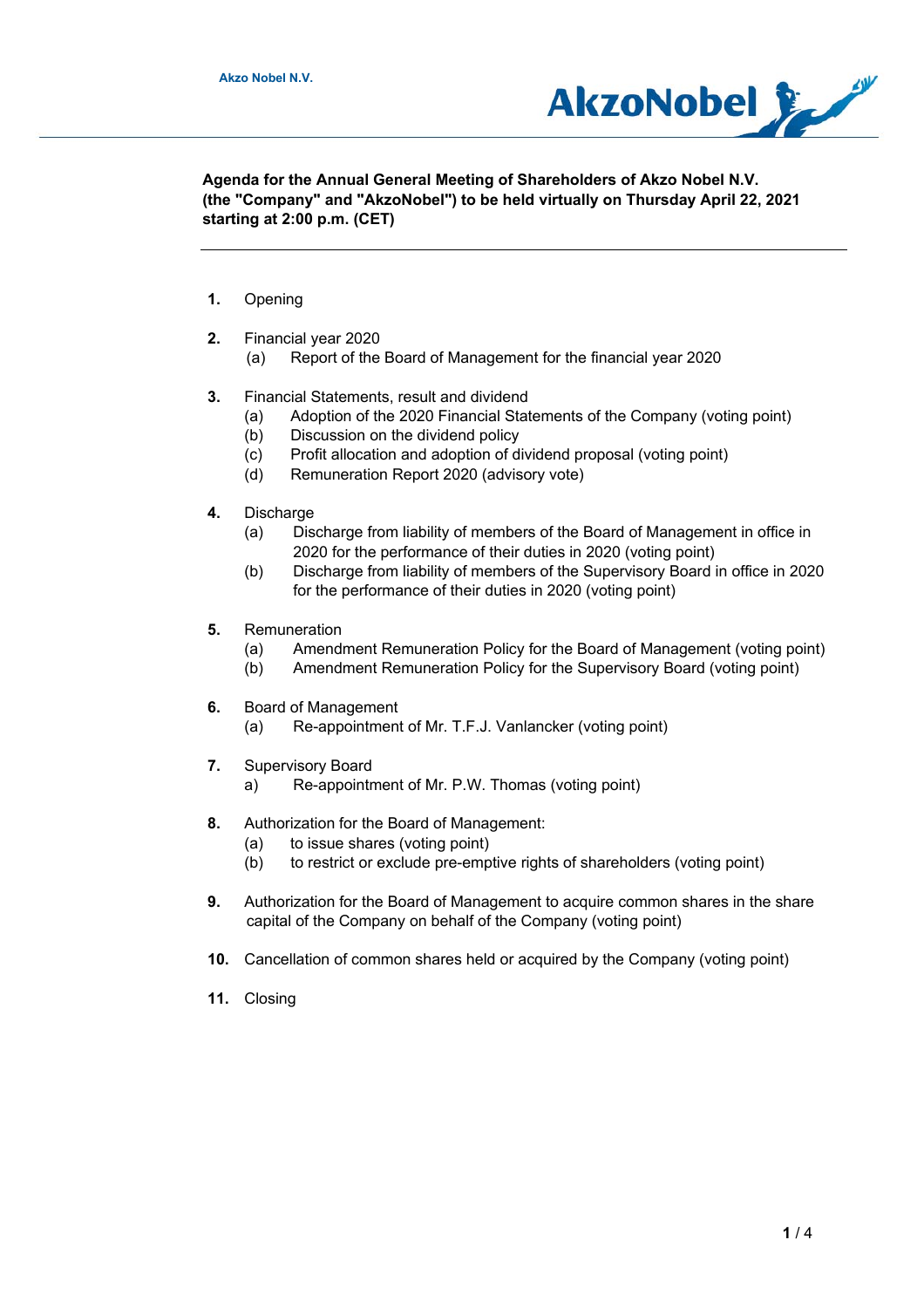

**Agenda for the Annual General Meeting of Shareholders of Akzo Nobel N.V. (the "Company" and "AkzoNobel") to be held virtually on Thursday April 22, 2021 starting at 2:00 p.m. (CET)** 

- **1.** Opening
- **2.** Financial year 2020
	- (a) Report of the Board of Management for the financial year 2020
- **3.** Financial Statements, result and dividend
	- (a) Adoption of the 2020 Financial Statements of the Company (voting point)
	- (b) Discussion on the dividend policy
	- (c) Profit allocation and adoption of dividend proposal (voting point)
	- (d) Remuneration Report 2020 (advisory vote)
- **4.** Discharge
	- (a) Discharge from liability of members of the Board of Management in office in 2020 for the performance of their duties in 2020 (voting point)
	- (b) Discharge from liability of members of the Supervisory Board in office in 2020 for the performance of their duties in 2020 (voting point)
- **5.** Remuneration
	- (a) Amendment Remuneration Policy for the Board of Management (voting point)
	- (b) Amendment Remuneration Policy for the Supervisory Board (voting point)
- **6.** Board of Management
	- (a) Re-appointment of Mr. T.F.J. Vanlancker (voting point)
- **7.** Supervisory Board
	- a) Re-appointment of Mr. P.W. Thomas (voting point)
- **8.** Authorization for the Board of Management:
	- (a) to issue shares (voting point)
	- (b) to restrict or exclude pre-emptive rights of shareholders (voting point)
- **9.** Authorization for the Board of Management to acquire common shares in the share capital of the Company on behalf of the Company (voting point)
- **10.** Cancellation of common shares held or acquired by the Company (voting point)
- **11.** Closing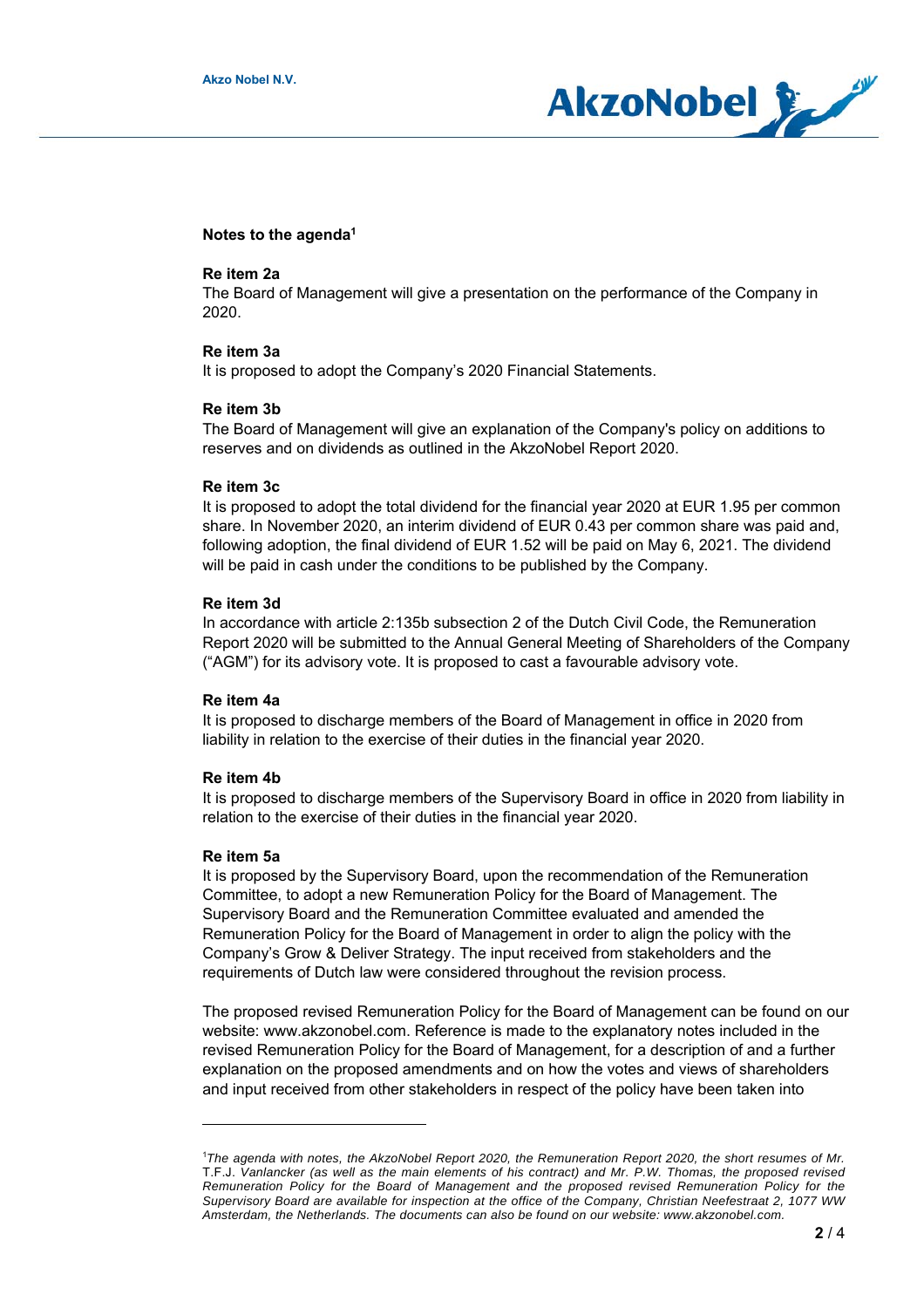

## **Notes to the agenda1**

#### **Re item 2a**

The Board of Management will give a presentation on the performance of the Company in 2020.

### **Re item 3a**

It is proposed to adopt the Company's 2020 Financial Statements.

### **Re item 3b**

The Board of Management will give an explanation of the Company's policy on additions to reserves and on dividends as outlined in the AkzoNobel Report 2020.

#### **Re item 3c**

It is proposed to adopt the total dividend for the financial year 2020 at EUR 1.95 per common share. In November 2020, an interim dividend of EUR 0.43 per common share was paid and, following adoption, the final dividend of EUR 1.52 will be paid on May 6, 2021. The dividend will be paid in cash under the conditions to be published by the Company.

## **Re item 3d**

In accordance with article 2:135b subsection 2 of the Dutch Civil Code, the Remuneration Report 2020 will be submitted to the Annual General Meeting of Shareholders of the Company ("AGM") for its advisory vote. It is proposed to cast a favourable advisory vote.

## **Re item 4a**

It is proposed to discharge members of the Board of Management in office in 2020 from liability in relation to the exercise of their duties in the financial year 2020.

## **Re item 4b**

It is proposed to discharge members of the Supervisory Board in office in 2020 from liability in relation to the exercise of their duties in the financial year 2020.

## **Re item 5a**

It is proposed by the Supervisory Board, upon the recommendation of the Remuneration Committee, to adopt a new Remuneration Policy for the Board of Management. The Supervisory Board and the Remuneration Committee evaluated and amended the Remuneration Policy for the Board of Management in order to align the policy with the Company's Grow & Deliver Strategy. The input received from stakeholders and the requirements of Dutch law were considered throughout the revision process.

The proposed revised Remuneration Policy for the Board of Management can be found on our website: www.akzonobel.com. Reference is made to the explanatory notes included in the revised Remuneration Policy for the Board of Management, for a description of and a further explanation on the proposed amendments and on how the votes and views of shareholders and input received from other stakeholders in respect of the policy have been taken into

<sup>&</sup>lt;sup>1</sup>The agenda with notes, the AkzoNobel Report 2020, the Remuneration Report 2020, the short resumes of Mr. T.F.J. *Vanlancker (as well as the main elements of his contract) and Mr. P.W. Thomas, the proposed revised Remuneration Policy for the Board of Management and the proposed revised Remuneration Policy for the Supervisory Board are available for inspection at the office of the Company, Christian Neefestraat 2, 1077 WW Amsterdam, the Netherlands. The documents can also be found on our website: www.akzonobel.com.*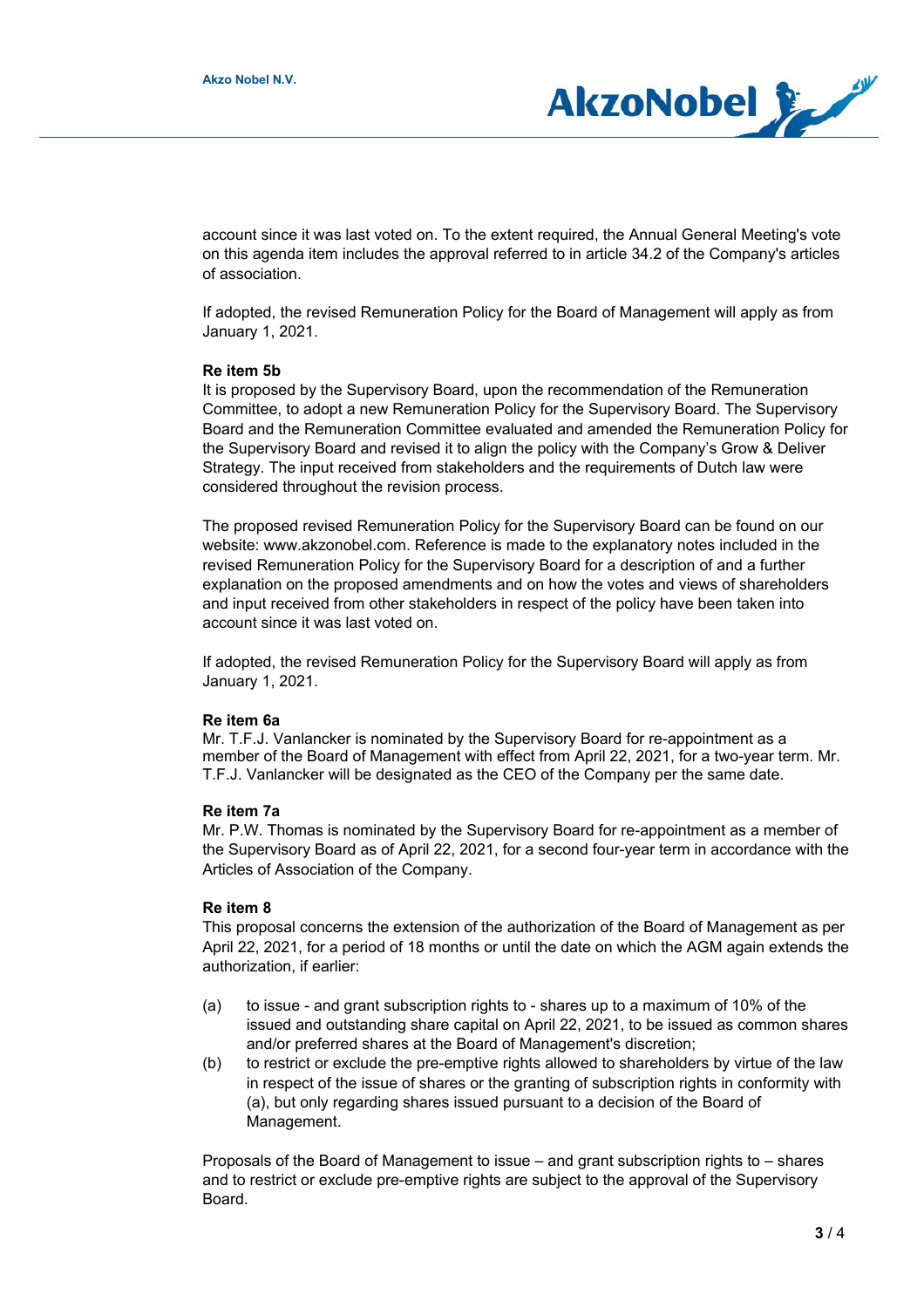

account since it was last voted on. To the extent required, the Annual General Meeting's vote on this agenda item includes the approval referred to in article 34.2 of the Company's articles of association.

If adopted, the revised Remuneration Policy for the Board of Management will apply as from January 1, 2021.

### **Re item 5b**

It is proposed by the Supervisory Board, upon the recommendation of the Remuneration Committee, to adopt a new Remuneration Policy for the Supervisory Board. The Supervisory Board and the Remuneration Committee evaluated and amended the Remuneration Policy for the Supervisory Board and revised it to align the policy with the Company's Grow & Deliver Strategy. The input received from stakeholders and the requirements of Dutch law were considered throughout the revision process.

The proposed revised Remuneration Policy for the Supervisory Board can be found on our website: www.akzonobel.com. Reference is made to the explanatory notes included in the revised Remuneration Policy for the Supervisory Board for a description of and a further explanation on the proposed amendments and on how the votes and views of shareholders and input received from other stakeholders in respect of the policy have been taken into account since it was last voted on.

If adopted, the revised Remuneration Policy for the Supervisory Board will apply as from January 1, 2021.

#### **Re item 6a**

Mr. T.F.J. Vanlancker is nominated by the Supervisory Board for re-appointment as a member of the Board of Management with effect from April 22, 2021, for a two-year term. Mr. T.F.J. Vanlancker will be designated as the CEO of the Company per the same date.

### **Re item 7a**

Mr. P.W. Thomas is nominated by the Supervisory Board for re-appointment as a member of the Supervisory Board as of April 22, 2021, for a second four-year term in accordance with the Articles of Association of the Company.

# **Re item 8**

This proposal concerns the extension of the authorization of the Board of Management as per April 22, 2021, for a period of 18 months or until the date on which the AGM again extends the authorization, if earlier:

- (a) to issue and grant subscription rights to shares up to a maximum of 10% of the issued and outstanding share capital on April 22, 2021, to be issued as common shares and/or preferred shares at the Board of Management's discretion;
- (b) to restrict or exclude the pre-emptive rights allowed to shareholders by virtue of the law in respect of the issue of shares or the granting of subscription rights in conformity with (a), but only regarding shares issued pursuant to a decision of the Board of Management.

Proposals of the Board of Management to issue – and grant subscription rights to – shares and to restrict or exclude pre-emptive rights are subject to the approval of the Supervisory Board.